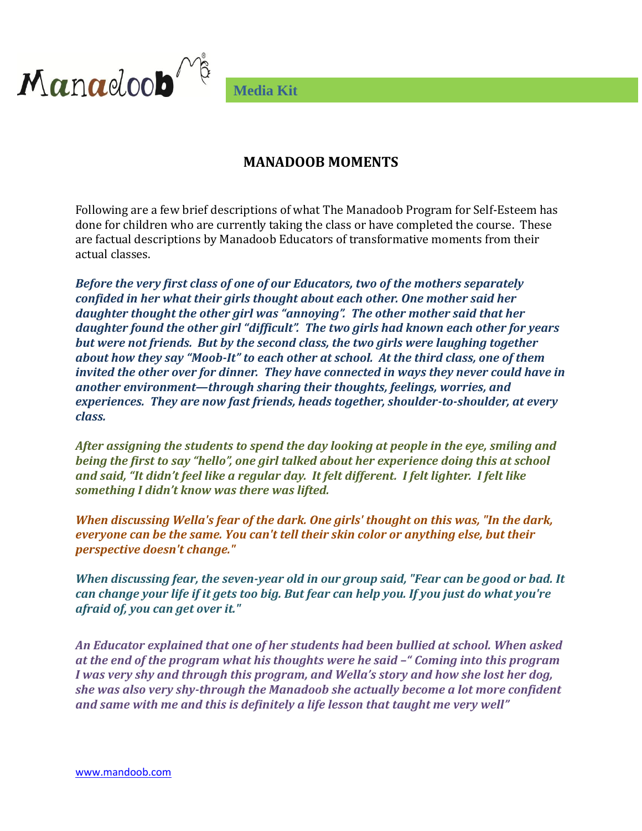

**Media Kit**

## **MANADOOB MOMENTS**

Following are a few brief descriptions of what The Manadoob Program for Self-Esteem has done for children who are currently taking the class or have completed the course. These are factual descriptions by Manadoob Educators of transformative moments from their actual classes.

*Before the very first class of one of our Educators, two of the mothers separately confided in her what their girls thought about each other. One mother said her daughter thought the other girl was "annoying". The other mother said that her daughter found the other girl "difficult". The two girls had known each other for years but were not friends. But by the second class, the two girls were laughing together about how they say "Moob-It" to each other at school. At the third class, one of them invited the other over for dinner. They have connected in ways they never could have in another environment—through sharing their thoughts, feelings, worries, and experiences. They are now fast friends, heads together, shoulder-to-shoulder, at every class.*

*After assigning the students to spend the day looking at people in the eye, smiling and being the first to say "hello", one girl talked about her experience doing this at school and said, "It didn't feel like a regular day. It felt different. I felt lighter. I felt like something I didn't know was there was lifted.*

*When discussing Wella's fear of the dark. One girls' thought on this was, "In the dark, everyone can be the same. You can't tell their skin color or anything else, but their perspective doesn't change."*

*When discussing fear, the seven-year old in our group said, "Fear can be good or bad. It can change your life if it gets too big. But fear can help you. If you just do what you're afraid of, you can get over it."*

*An Educator explained that one of her students had been bullied at school. When asked at the end of the program what his thoughts were he said –" Coming into this program I was very shy and through this program, and Wella's story and how she lost her dog, she was also very shy-through the Manadoob she actually become a lot more confident and same with me and this is definitely a life lesson that taught me very well"*